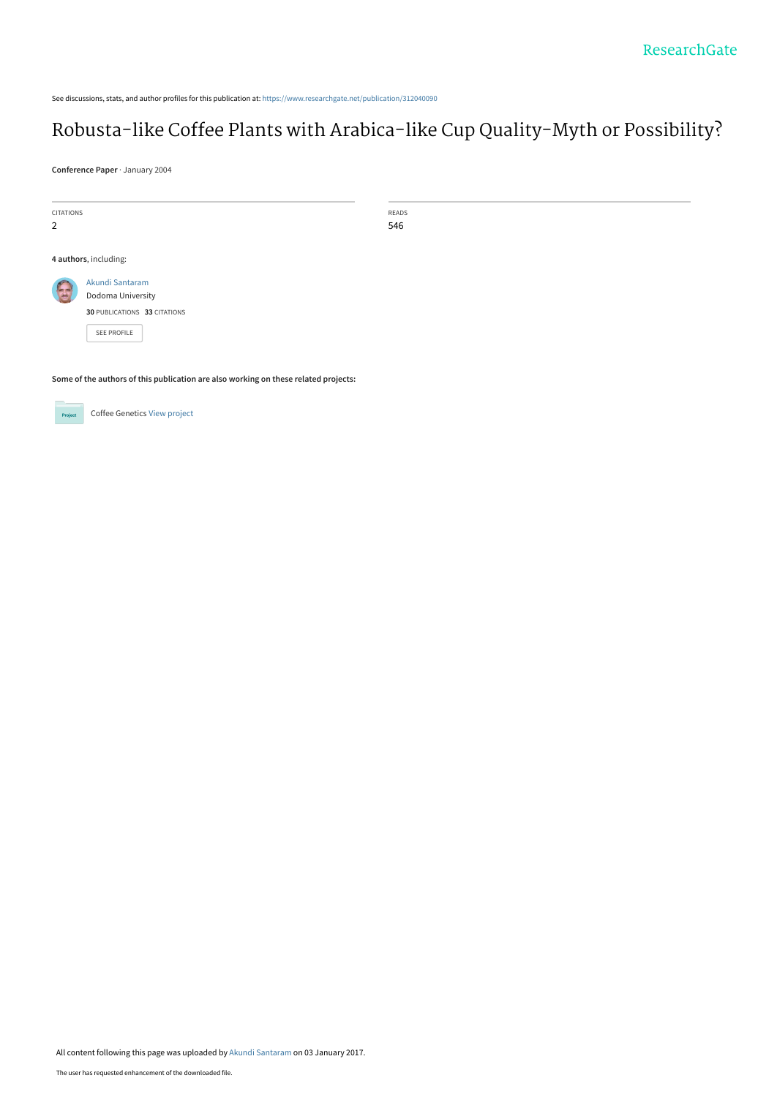See discussions, stats, and author profiles for this publication at: [https://www.researchgate.net/publication/312040090](https://www.researchgate.net/publication/312040090_Robusta-like_Coffee_Plants_with_Arabica-like_Cup_Quality-Myth_or_Possibility?enrichId=rgreq-2440dc38dc54af7efe1896ccdc17ffee-XXX&enrichSource=Y292ZXJQYWdlOzMxMjA0MDA5MDtBUzo0NDY0NzI2MDU5NjYzMzZAMTQ4MzQ1ODc3MjU2OA%3D%3D&el=1_x_2&_esc=publicationCoverPdf)

# [Robusta-like Coffee Plants with Arabica-like Cup Quality-Myth or Possibility?](https://www.researchgate.net/publication/312040090_Robusta-like_Coffee_Plants_with_Arabica-like_Cup_Quality-Myth_or_Possibility?enrichId=rgreq-2440dc38dc54af7efe1896ccdc17ffee-XXX&enrichSource=Y292ZXJQYWdlOzMxMjA0MDA5MDtBUzo0NDY0NzI2MDU5NjYzMzZAMTQ4MzQ1ODc3MjU2OA%3D%3D&el=1_x_3&_esc=publicationCoverPdf)

**Conference Paper** · January 2004

| <b>CITATIONS</b><br>2                                                               |                                                                                            | READS<br>546 |  |  |  |
|-------------------------------------------------------------------------------------|--------------------------------------------------------------------------------------------|--------------|--|--|--|
|                                                                                     | 4 authors, including:                                                                      |              |  |  |  |
|                                                                                     | Akundi Santaram<br>Dodoma University<br>30 PUBLICATIONS 33 CITATIONS<br><b>SEE PROFILE</b> |              |  |  |  |
| Some of the authors of this publication are also working on these related projects: |                                                                                            |              |  |  |  |

Coffee Genetics [View project](https://www.researchgate.net/project/Coffee-Genetics?enrichId=rgreq-2440dc38dc54af7efe1896ccdc17ffee-XXX&enrichSource=Y292ZXJQYWdlOzMxMjA0MDA5MDtBUzo0NDY0NzI2MDU5NjYzMzZAMTQ4MzQ1ODc3MjU2OA%3D%3D&el=1_x_9&_esc=publicationCoverPdf)

All content following this page was uploaded by [Akundi Santaram](https://www.researchgate.net/profile/Akundi_Santaram?enrichId=rgreq-2440dc38dc54af7efe1896ccdc17ffee-XXX&enrichSource=Y292ZXJQYWdlOzMxMjA0MDA5MDtBUzo0NDY0NzI2MDU5NjYzMzZAMTQ4MzQ1ODc3MjU2OA%3D%3D&el=1_x_10&_esc=publicationCoverPdf) on 03 January 2017.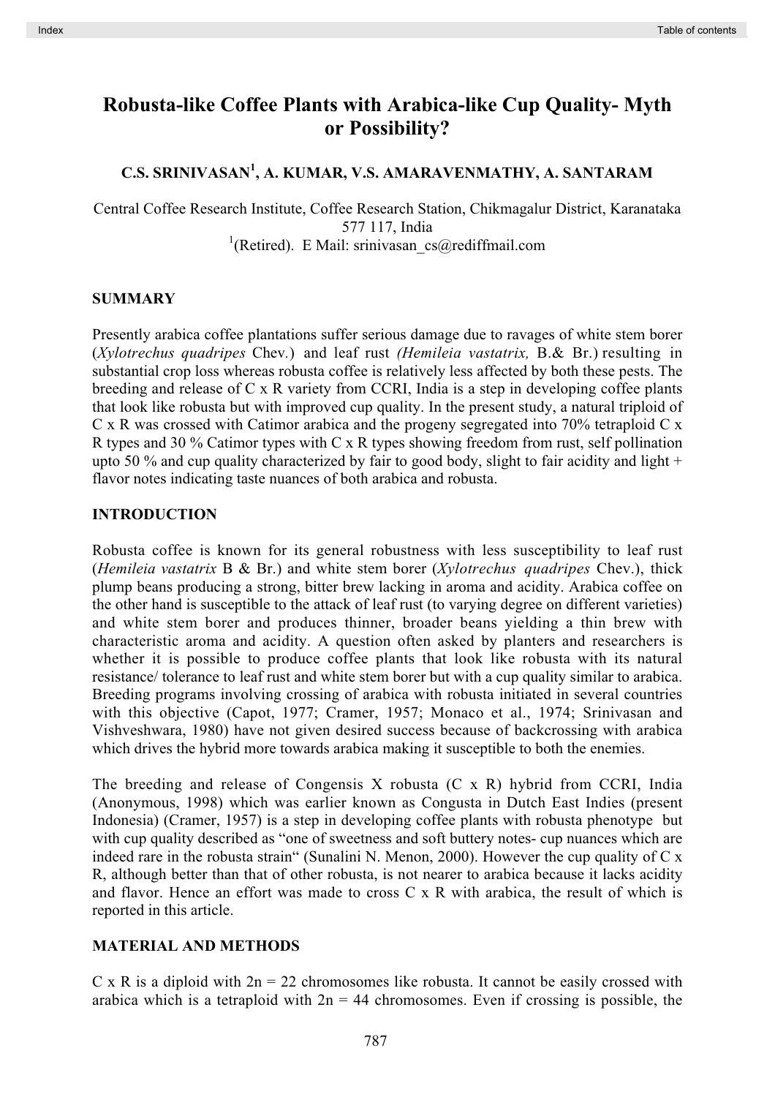## **Robusta-like Coffee Plants with Arabica-like Cup Quality- Myth or Possibility?**

## **C.S. SRINIVASAN<sup>1</sup> , A. KUMAR, V.S. AMARAVENMATHY, A. SANTARAM**

Central Coffee Research Institute, Coffee Research Station, Chikmagalur District, Karanataka 577 117, India <sup>1</sup>(Retired). E Mail: srinivasan\_cs@rediffmail.com

#### **SUMMARY**

Presently arabica coffee plantations suffer serious damage due to ravages of white stem borer (*Xylotrechus quadripes* Chev*.*) and leaf rust *(Hemileia vastatrix,* B.& Br.) resulting in substantial crop loss whereas robusta coffee is relatively less affected by both these pests. The breeding and release of C x R variety from CCRI, India is a step in developing coffee plants that look like robusta but with improved cup quality. In the present study, a natural triploid of C x R was crossed with Catimor arabica and the progeny segregated into 70% tetraploid C x R types and 30 % Catimor types with C x R types showing freedom from rust, self pollination upto 50 % and cup quality characterized by fair to good body, slight to fair acidity and light  $+$ flavor notes indicating taste nuances of both arabica and robusta.

#### **INTRODUCTION**

Robusta coffee is known for its general robustness with less susceptibility to leaf rust (*Hemileia vastatrix* B & Br.) and white stem borer (*Xylotrechus quadripes* Chev.), thick plump beans producing a strong, bitter brew lacking in aroma and acidity. Arabica coffee on the other hand is susceptible to the attack of leaf rust (to varying degree on different varieties) and white stem borer and produces thinner, broader beans yielding a thin brew with characteristic aroma and acidity. A question often asked by planters and researchers is whether it is possible to produce coffee plants that look like robusta with its natural resistance/ tolerance to leaf rust and white stem borer but with a cup quality similar to arabica. Breeding programs involving crossing of arabica with robusta initiated in several countries with this objective (Capot, 1977; Cramer, 1957; Monaco et al., 1974; Srinivasan and Vishveshwara, 1980) have not given desired success because of backcrossing with arabica which drives the hybrid more towards arabica making it susceptible to both the enemies.

The breeding and release of Congensis X robusta (C x R) hybrid from CCRI, India (Anonymous, 1998) which was earlier known as Congusta in Dutch East Indies (present Indonesia) (Cramer, 1957) is a step in developing coffee plants with robusta phenotype but with cup quality described as "one of sweetness and soft buttery notes- cup nuances which are indeed rare in the robusta strain" (Sunalini N. Menon, 2000). However the cup quality of C x R, although better than that of other robusta, is not nearer to arabica because it lacks acidity and flavor. Hence an effort was made to cross C x R with arabica, the result of which is reported in this article.

#### **MATERIAL AND METHODS**

C x R is a diploid with  $2n = 22$  chromosomes like robusta. It cannot be easily crossed with arabica which is a tetraploid with  $2n = 44$  chromosomes. Even if crossing is possible, the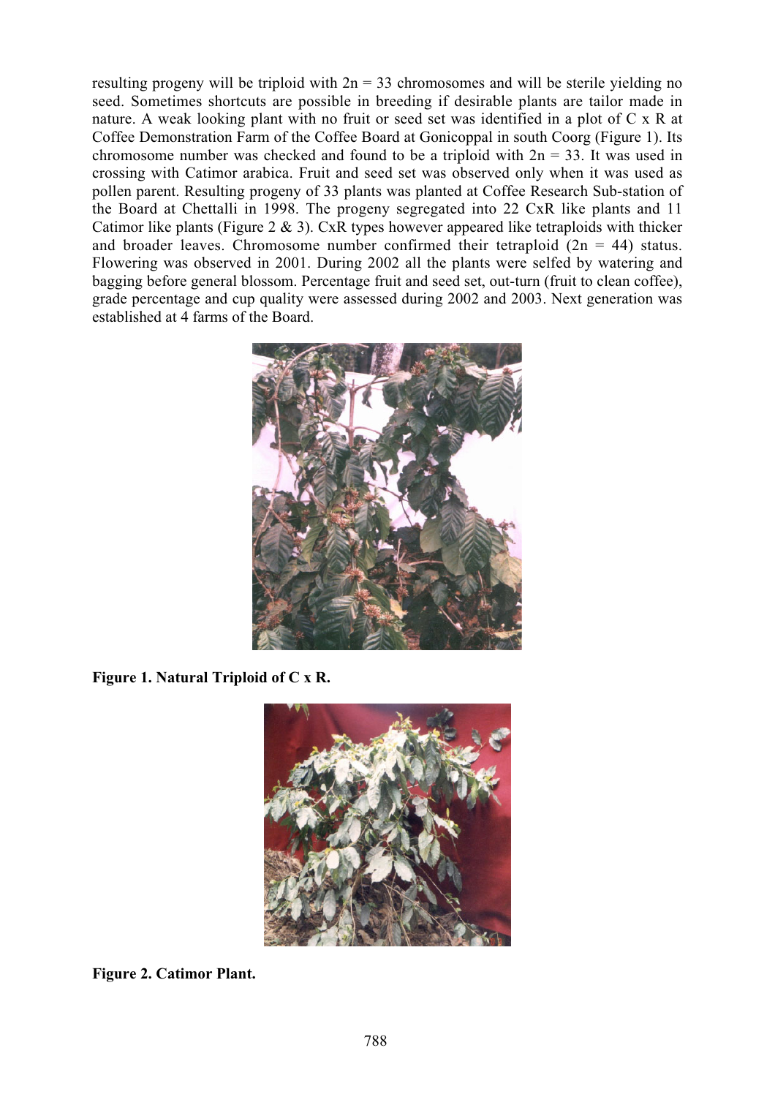resulting progeny will be triploid with  $2n = 33$  chromosomes and will be sterile yielding no seed. Sometimes shortcuts are possible in breeding if desirable plants are tailor made in nature. A weak looking plant with no fruit or seed set was identified in a plot of C x R at Coffee Demonstration Farm of the Coffee Board at Gonicoppal in south Coorg (Figure 1). Its chromosome number was checked and found to be a triploid with  $2n = 33$ . It was used in crossing with Catimor arabica. Fruit and seed set was observed only when it was used as pollen parent. Resulting progeny of 33 plants was planted at Coffee Research Sub-station of the Board at Chettalli in 1998. The progeny segregated into 22 CxR like plants and 11 Catimor like plants (Figure 2  $\&$  3). CxR types however appeared like tetraploids with thicker and broader leaves. Chromosome number confirmed their tetraploid  $(2n = 44)$  status. Flowering was observed in 2001. During 2002 all the plants were selfed by watering and bagging before general blossom. Percentage fruit and seed set, out-turn (fruit to clean coffee), grade percentage and cup quality were assessed during 2002 and 2003. Next generation was established at 4 farms of the Board.



**Figure 1. Natural Triploid of C x R.**



**Figure 2. Catimor Plant.**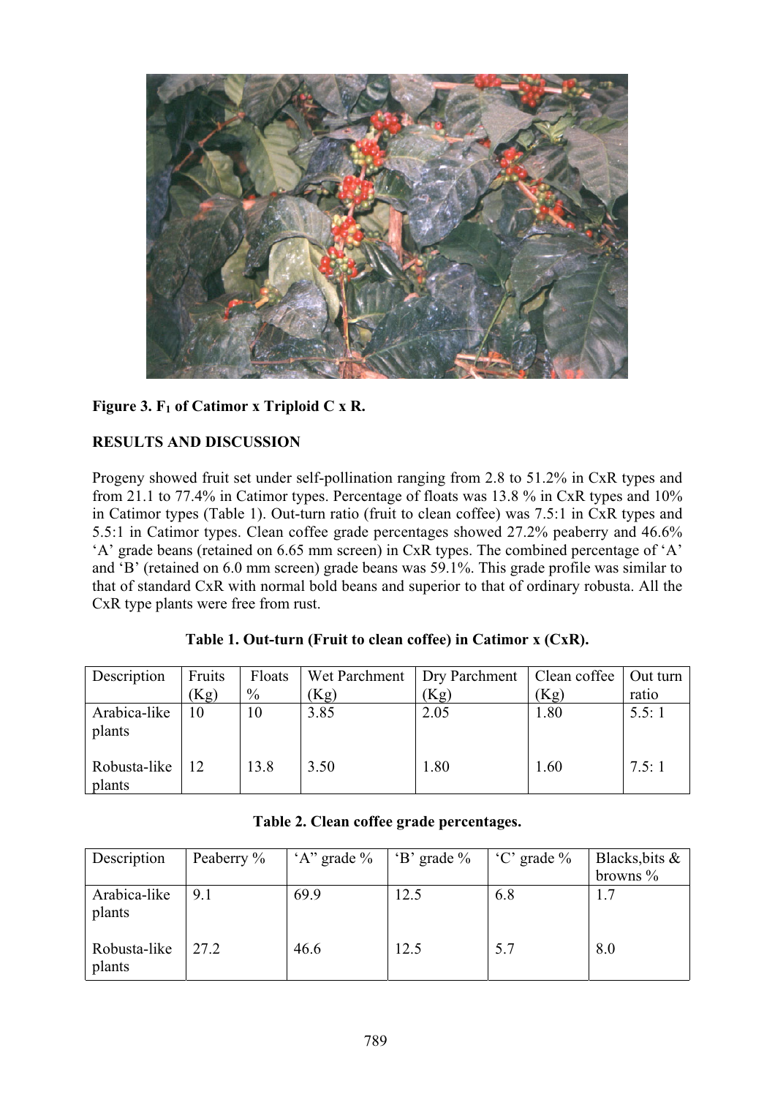

## Figure 3. F<sub>1</sub> of Catimor x Triploid C x R.

## **RESULTS AND DISCUSSION**

Progeny showed fruit set under self-pollination ranging from 2.8 to 51.2% in CxR types and from 21.1 to 77.4% in Catimor types. Percentage of floats was 13.8 % in CxR types and 10% in Catimor types (Table 1). Out-turn ratio (fruit to clean coffee) was 7.5:1 in CxR types and 5.5:1 in Catimor types. Clean coffee grade percentages showed 27.2% peaberry and 46.6% 'A' grade beans (retained on 6.65 mm screen) in CxR types. The combined percentage of 'A' and 'B' (retained on 6.0 mm screen) grade beans was 59.1%. This grade profile was similar to that of standard CxR with normal bold beans and superior to that of ordinary robusta. All the CxR type plants were free from rust.

| Description            | Fruits | Floats | Wet Parchment   Dry Parchment   Clean coffee |      |      | Out turn |
|------------------------|--------|--------|----------------------------------------------|------|------|----------|
|                        | (Kg)   | $\%$   | (Kg)                                         | (Kg) | (Kg) | ratio    |
| Arabica-like<br>plants | 10     | 10     | 3.85                                         | 2.05 | 1.80 | 5.5:1    |
| Robusta-like<br>plants | 12     | 13.8   | 3.50                                         | 1.80 | 1.60 | 7.5:1    |

| Table 1. Out-turn (Fruit to clean coffee) in Catimor $x$ (CxR). |
|-----------------------------------------------------------------|
|-----------------------------------------------------------------|

| Description            | Peaberry % | $A$ " grade % | $\cdot$ B' grade % | $^{\circ}$ C' grade % | Blacks, bits &<br>browns $\%$ |
|------------------------|------------|---------------|--------------------|-----------------------|-------------------------------|
| Arabica-like<br>plants | 9.1        | 69.9          | 12.5               | 6.8                   |                               |
| Robusta-like<br>plants | 27.2       | 46.6          | 12.5               | 5.7                   | 8.0                           |

**Table 2. Clean coffee grade percentages.**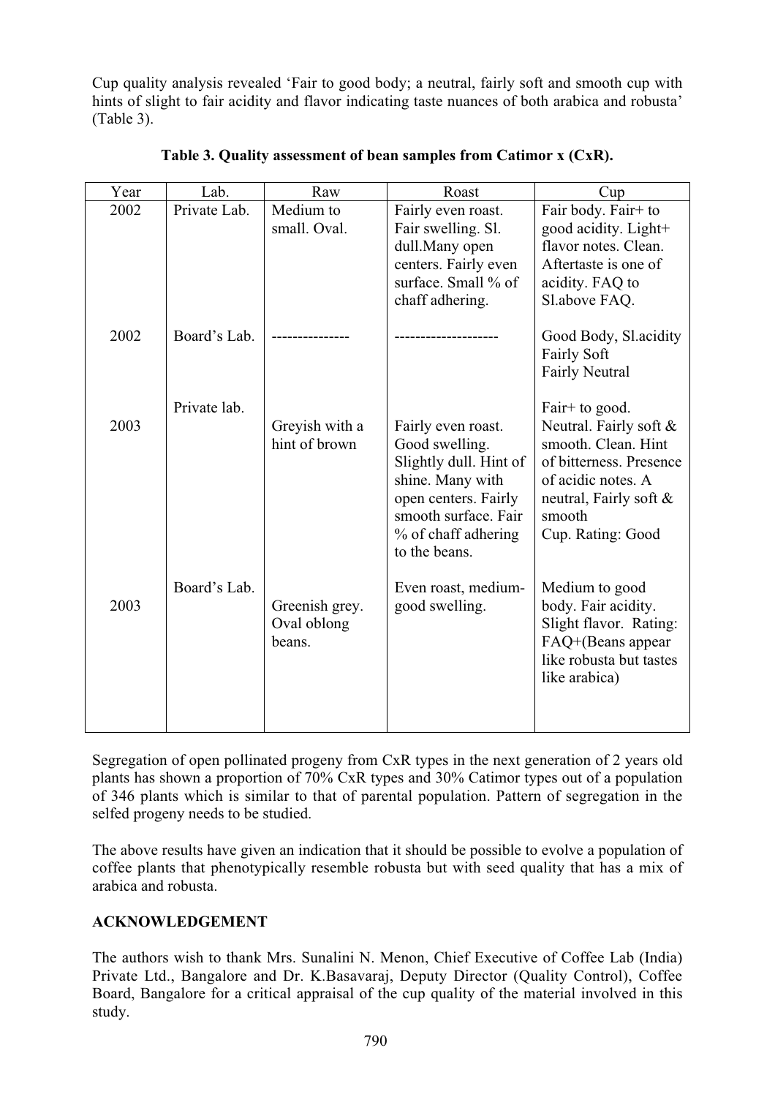Cup quality analysis revealed 'Fair to good body; a neutral, fairly soft and smooth cup with hints of slight to fair acidity and flavor indicating taste nuances of both arabica and robusta' (Table 3).

| Year | Lab.         | Raw                                     | Roast                                                                                                                                                                      | Cup                                                                                                                                                                       |
|------|--------------|-----------------------------------------|----------------------------------------------------------------------------------------------------------------------------------------------------------------------------|---------------------------------------------------------------------------------------------------------------------------------------------------------------------------|
| 2002 | Private Lab. | Medium to<br>small. Oval.               | Fairly even roast.<br>Fair swelling. Sl.<br>dull.Many open<br>centers. Fairly even<br>surface. Small % of<br>chaff adhering.                                               | Fair body. Fair+ to<br>good acidity. Light+<br>flavor notes. Clean.<br>Aftertaste is one of<br>acidity. FAQ to<br>Sl.above FAQ.                                           |
| 2002 | Board's Lab. |                                         |                                                                                                                                                                            | Good Body, Sl. acidity<br>Fairly Soft<br><b>Fairly Neutral</b>                                                                                                            |
| 2003 | Private lab. | Greyish with a<br>hint of brown         | Fairly even roast.<br>Good swelling.<br>Slightly dull. Hint of<br>shine. Many with<br>open centers. Fairly<br>smooth surface. Fair<br>% of chaff adhering<br>to the beans. | Fair+ to good.<br>Neutral. Fairly soft &<br>smooth. Clean. Hint<br>of bitterness. Presence<br>of acidic notes. A<br>neutral, Fairly soft &<br>smooth<br>Cup. Rating: Good |
| 2003 | Board's Lab. | Greenish grey.<br>Oval oblong<br>beans. | Even roast, medium-<br>good swelling.                                                                                                                                      | Medium to good<br>body. Fair acidity.<br>Slight flavor. Rating:<br>FAQ+(Beans appear<br>like robusta but tastes<br>like arabica)                                          |

**Table 3. Quality assessment of bean samples from Catimor x (CxR).**

Segregation of open pollinated progeny from CxR types in the next generation of 2 years old plants has shown a proportion of 70% CxR types and 30% Catimor types out of a population of 346 plants which is similar to that of parental population. Pattern of segregation in the selfed progeny needs to be studied.

The above results have given an indication that it should be possible to evolve a population of coffee plants that phenotypically resemble robusta but with seed quality that has a mix of arabica and robusta.

## **ACKNOWLEDGEMENT**

The authors wish to thank Mrs. Sunalini N. Menon, Chief Executive of Coffee Lab (India) Private Ltd., Bangalore and Dr. K.Basavaraj, Deputy Director (Quality Control), Coffee Board, Bangalore for a critical appraisal of the cup quality of the material involved in this study.